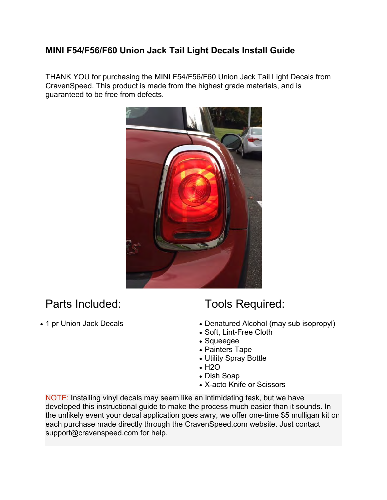## MINI F54/F56/F60 Union Jack Tail Light Decals Install Guide

THANK YOU for purchasing the MINI F54/F56/F60 Union Jack Tail Light Decals from CravenSpeed. This product is made from the highest grade materials, and is guaranteed to be free from defects.



## Parts Included:

• 1 pr Union Jack Decals

## Tools Required:

- Denatured Alcohol (may sub isopropyl)
- Soft, Lint-Free Cloth
- Squeegee
- Painters Tape
- Utility Spray Bottle
- H<sub>2</sub>O
- Dish Soap
- X-acto Knife or Scissors

NOTE: Installing vinyl decals may seem like an intimidating task, but we have developed this instructional guide to make the process much easier than it sounds. In the unlikely event your decal application goes awry, we offer one-time \$5 mulligan kit on each purchase made directly through the CravenSpeed.com website. Just contact support@cravenspeed.com for help.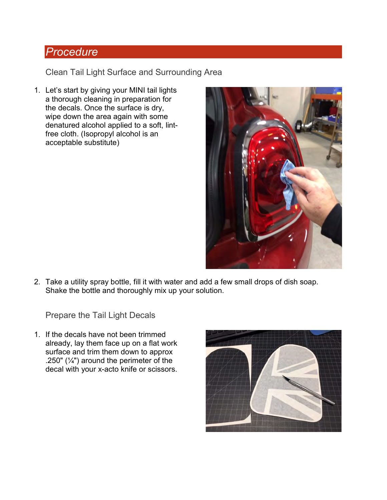## Procedure

Clean Tail Light Surface and Surrounding Area

1. Let's start by giving your MINI tail lights a thorough cleaning in preparation for the decals. Once the surface is dry, wipe down the area again with some denatured alcohol applied to a soft, lintfree cloth. (Isopropyl alcohol is an acceptable substitute)



2. Take a utility spray bottle, fill it with water and add a few small drops of dish soap. Shake the bottle and thoroughly mix up your solution.

Prepare the Tail Light Decals

1. If the decals have not been trimmed already, lay them face up on a flat work surface and trim them down to approx .250" ( $\frac{1}{4}$ ") around the perimeter of the decal with your x-acto knife or scissors.

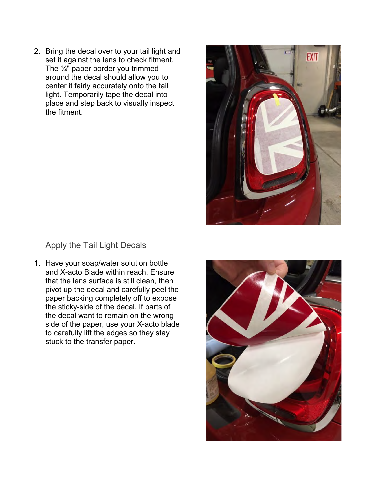2. Bring the decal over to your tail light and set it against the lens to check fitment. The  $\frac{1}{4}$ " paper border you trimmed around the decal should allow you to center it fairly accurately onto the tail light. Temporarily tape the decal into place and step back to visually inspect the fitment.



Apply the Tail Light Decals

1. Have your soap/water solution bottle and X-acto Blade within reach. Ensure that the lens surface is still clean, then pivot up the decal and carefully peel the paper backing completely off to expose the sticky-side of the decal. If parts of the decal want to remain on the wrong side of the paper, use your X-acto blade to carefully lift the edges so they stay stuck to the transfer paper.

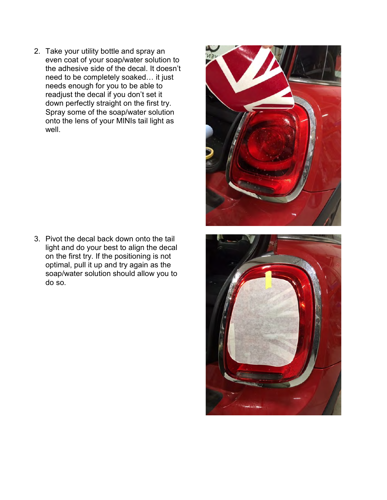2. Take your utility bottle and spray an even coat of your soap/water solution to the adhesive side of the decal. It doesn't need to be completely soaked… it just needs enough for you to be able to readjust the decal if you don't set it down perfectly straight on the first try. Spray some of the soap/water solution onto the lens of your MINIs tail light as well.

3. Pivot the decal back down onto the tail light and do your best to align the decal on the first try. If the positioning is not optimal, pull it up and try again as the soap/water solution should allow you to do so.

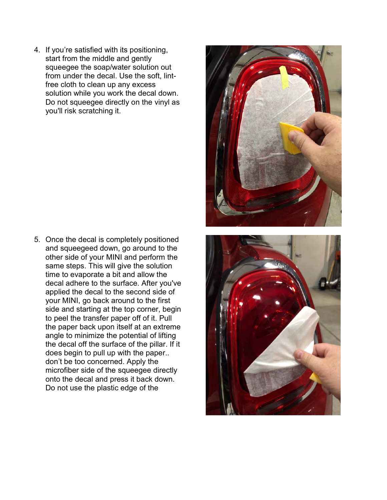4. If you're satisfied with its positioning, start from the middle and gently squeegee the soap/water solution out from under the decal. Use the soft, lintfree cloth to clean up any excess solution while you work the decal down. Do not squeegee directly on the vinyl as you'll risk scratching it.

5. Once the decal is completely positioned and squeegeed down, go around to the other side of your MINI and perform the same steps. This will give the solution time to evaporate a bit and allow the decal adhere to the surface. After you've applied the decal to the second side of your MINI, go back around to the first side and starting at the top corner, begin to peel the transfer paper off of it. Pull the paper back upon itself at an extreme angle to minimize the potential of lifting the decal off the surface of the pillar. If it does begin to pull up with the paper.. don't be too concerned. Apply the microfiber side of the squeegee directly onto the decal and press it back down. Do not use the plastic edge of the